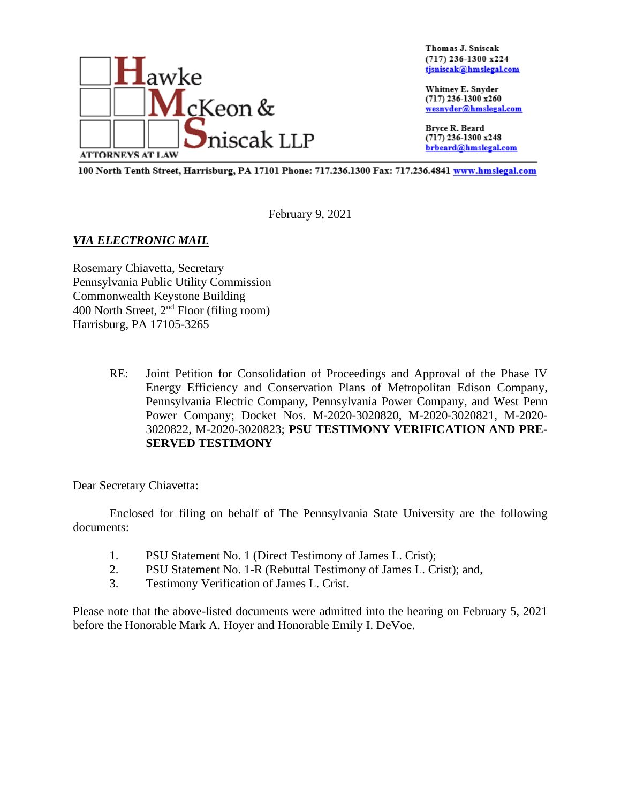

Thomas J. Sniscak  $(717)$  236-1300 x224 tjsniscak@hmslegal.com

Whitney E. Snyder (717) 236-1300 x260 wesnyder@hmslegal.com

Bryce R. Beard (717) 236-1300 x248 brbeard@hmslegal.com

100 North Tenth Street, Harrisburg, PA 17101 Phone: 717.236.1300 Fax: 717.236.4841 www.hmslegal.com

February 9, 2021

## *VIA ELECTRONIC MAIL*

Rosemary Chiavetta, Secretary Pennsylvania Public Utility Commission Commonwealth Keystone Building 400 North Street,  $2<sup>nd</sup>$  Floor (filing room) Harrisburg, PA 17105-3265

> RE: Joint Petition for Consolidation of Proceedings and Approval of the Phase IV Energy Efficiency and Conservation Plans of Metropolitan Edison Company, Pennsylvania Electric Company, Pennsylvania Power Company, and West Penn Power Company; Docket Nos. M-2020-3020820, M-2020-3020821, M-2020- 3020822, M-2020-3020823; **PSU TESTIMONY VERIFICATION AND PRE-SERVED TESTIMONY**

Dear Secretary Chiavetta:

Enclosed for filing on behalf of The Pennsylvania State University are the following documents:

- 1. PSU Statement No. 1 (Direct Testimony of James L. Crist);
- 2. PSU Statement No. 1-R (Rebuttal Testimony of James L. Crist); and,
- 3. Testimony Verification of James L. Crist.

Please note that the above-listed documents were admitted into the hearing on February 5, 2021 before the Honorable Mark A. Hoyer and Honorable Emily I. DeVoe.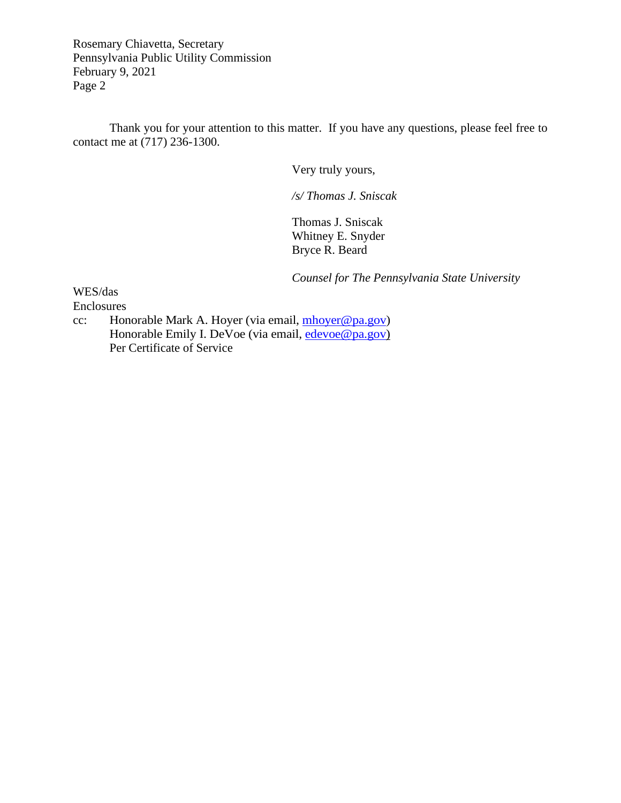Rosemary Chiavetta, Secretary Pennsylvania Public Utility Commission February 9, 2021 Page 2

Thank you for your attention to this matter. If you have any questions, please feel free to contact me at (717) 236-1300.

Very truly yours,

*/s/ Thomas J. Sniscak*

Thomas J. Sniscak Whitney E. Snyder Bryce R. Beard

*Counsel for The Pennsylvania State University* 

WES/das

Enclosures

cc: Honorable Mark A. Hoyer (via email, [mhoyer@pa.gov\)](mailto:mhoyer@pa.gov) Honorable Emily I. DeVoe (via email, [edevoe@pa.gov\)](mailto:edevoe@pa.gov) Per Certificate of Service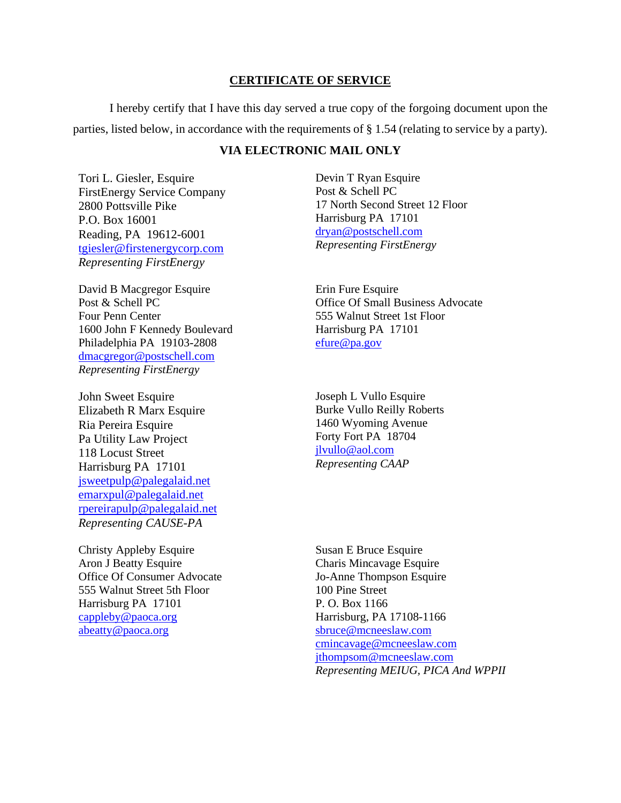#### **CERTIFICATE OF SERVICE**

I hereby certify that I have this day served a true copy of the forgoing document upon the parties, listed below, in accordance with the requirements of § 1.54 (relating to service by a party).

## **VIA ELECTRONIC MAIL ONLY**

Tori L. Giesler, Esquire FirstEnergy Service Company 2800 Pottsville Pike P.O. Box 16001 Reading, PA 19612-6001 [tgiesler@firstenergycorp.com](mailto:tgiesler@firstenergycorp.com) *Representing FirstEnergy*

David B Macgregor Esquire Post & Schell PC Four Penn Center 1600 John F Kennedy Boulevard Philadelphia PA 19103-2808 [dmacgregor@postschell.com](mailto:dmacgregor@postschell.com) *Representing FirstEnergy*

John Sweet Esquire Elizabeth R Marx Esquire Ria Pereira Esquire Pa Utility Law Project 118 Locust Street Harrisburg PA 17101 [jsweetpulp@palegalaid.net](mailto:jsweetpulp@palegalaid.net) [emarxpul@palegalaid.net](mailto:emarxpul@palegalaid.net) [rpereirapulp@palegalaid.net](mailto:rpereirapulp@palegalaid.net) *Representing CAUSE-PA*

Christy Appleby Esquire Aron J Beatty Esquire Office Of Consumer Advocate 555 Walnut Street 5th Floor Harrisburg PA 17101 [cappleby@paoca.org](mailto:cappleby@paoca.org) [abeatty@paoca.org](mailto:abeatty@paoca.org)

Devin T Ryan Esquire Post & Schell PC 17 North Second Street 12 Floor Harrisburg PA 17101 [dryan@postschell.com](mailto:dryan@postschell.com) *Representing FirstEnergy*

Erin Fure Esquire Office Of Small Business Advocate 555 Walnut Street 1st Floor Harrisburg PA 17101 [efure@pa.gov](mailto:efure@pa.gov)

Joseph L Vullo Esquire Burke Vullo Reilly Roberts 1460 Wyoming Avenue Forty Fort PA 18704 [jlvullo@aol.com](mailto:jlvullo@aol.com) *Representing CAAP*

Susan E Bruce Esquire Charis Mincavage Esquire Jo-Anne Thompson Esquire 100 Pine Street P. O. Box 1166 Harrisburg, PA 17108-1166 [sbruce@mcneeslaw.com](mailto:sbruce@mcneeslaw.com) [cmincavage@mcneeslaw.com](mailto:cmincavage@mcneeslaw.com) [jthompsom@mcneeslaw.com](mailto:jthompsom@mcneeslaw.com) *Representing MEIUG, PICA And WPPII*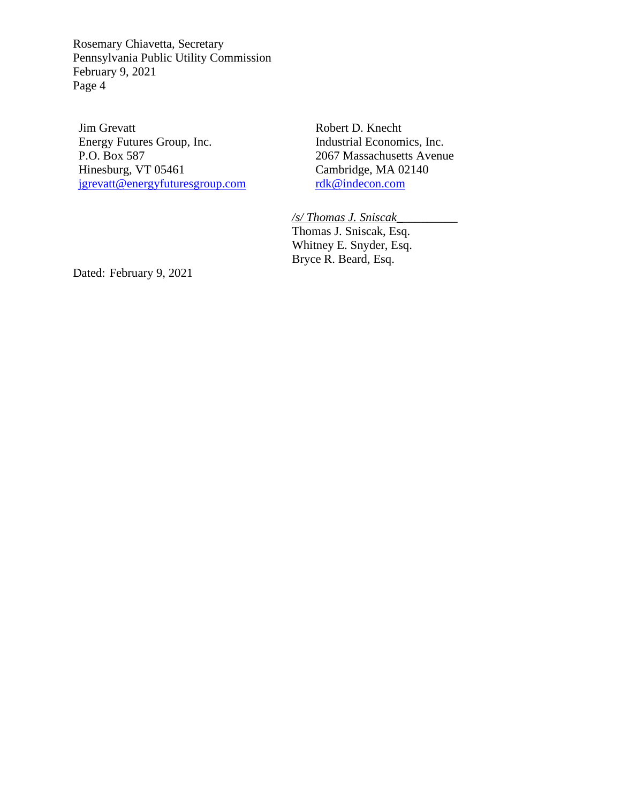Rosemary Chiavetta, Secretary Pennsylvania Public Utility Commission February 9, 2021 Page 4

Jim Grevatt Energy Futures Group, Inc. P.O. Box 587 Hinesburg, VT 05461 [jgrevatt@energyfuturesgroup.com](mailto:jgrevatt@energyfuturesgroup.com) Robert D. Knecht Industrial Economics, Inc. 2067 Massachusetts Avenue Cambridge, MA 02140 [rdk@indecon.com](mailto:rdk@indecon.com)

*/s/ Thomas J. Sniscak\_\_\_\_\_\_\_\_\_\_* Thomas J. Sniscak, Esq. Whitney E. Snyder, Esq. Bryce R. Beard, Esq.

Dated: February 9, 2021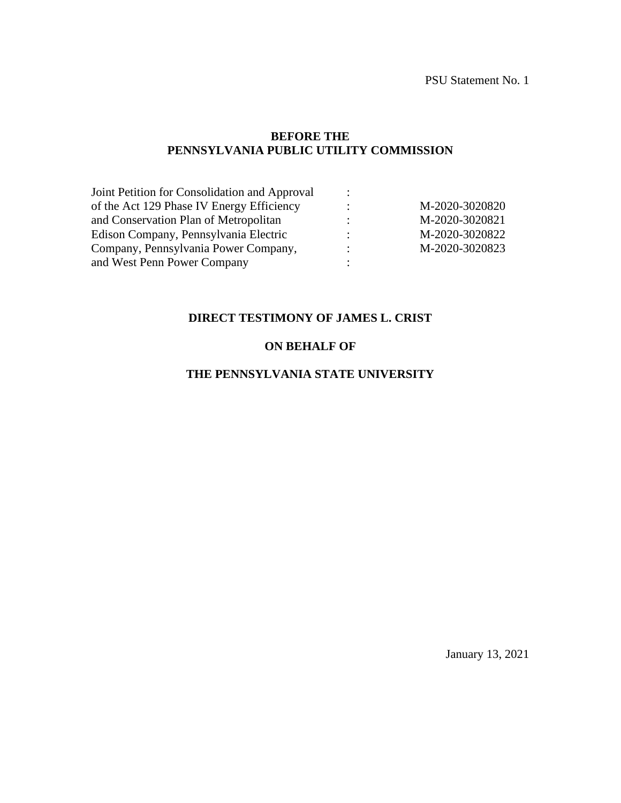PSU Statement No. 1

#### **BEFORE THE PENNSYLVANIA PUBLIC UTILITY COMMISSION**

| Joint Petition for Consolidation and Approval |                |                |
|-----------------------------------------------|----------------|----------------|
| of the Act 129 Phase IV Energy Efficiency     | ٠<br>$\bullet$ | M-2020-3020820 |
| and Conservation Plan of Metropolitan         | ٠<br>$\bullet$ | M-2020-3020821 |
| Edison Company, Pennsylvania Electric         | ٠<br>$\bullet$ | M-2020-3020822 |
| Company, Pennsylvania Power Company,          | $\ddot{\cdot}$ | M-2020-3020823 |
| and West Penn Power Company                   |                |                |
|                                               |                |                |

## **DIRECT TESTIMONY OF JAMES L. CRIST**

## **ON BEHALF OF**

#### **THE PENNSYLVANIA STATE UNIVERSITY**

January 13, 2021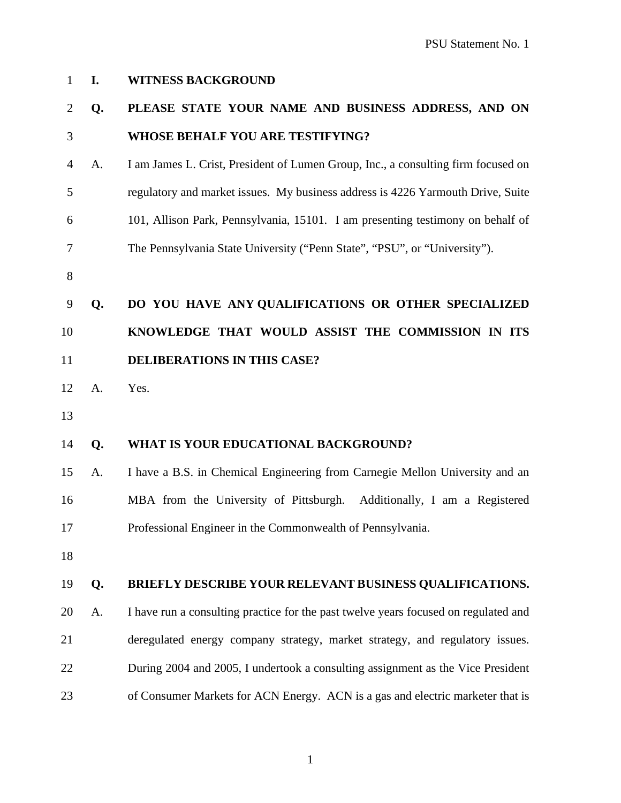| 1              | I. | <b>WITNESS BACKGROUND</b>                                                           |
|----------------|----|-------------------------------------------------------------------------------------|
| $\overline{2}$ | Q. | PLEASE STATE YOUR NAME AND BUSINESS ADDRESS, AND ON                                 |
| 3              |    | <b>WHOSE BEHALF YOU ARE TESTIFYING?</b>                                             |
| 4              | A. | I am James L. Crist, President of Lumen Group, Inc., a consulting firm focused on   |
| 5              |    | regulatory and market issues. My business address is 4226 Yarmouth Drive, Suite     |
| 6              |    | 101, Allison Park, Pennsylvania, 15101. I am presenting testimony on behalf of      |
| 7              |    | The Pennsylvania State University ("Penn State", "PSU", or "University").           |
| 8              |    |                                                                                     |
| 9              | Q. | DO YOU HAVE ANY QUALIFICATIONS OR OTHER SPECIALIZED                                 |
| 10             |    | KNOWLEDGE THAT WOULD ASSIST THE COMMISSION IN ITS                                   |
| 11             |    | <b>DELIBERATIONS IN THIS CASE?</b>                                                  |
| 12             | A. | Yes.                                                                                |
| 13             |    |                                                                                     |
| 14             | Q. | WHAT IS YOUR EDUCATIONAL BACKGROUND?                                                |
| 15             | A. | I have a B.S. in Chemical Engineering from Carnegie Mellon University and an        |
| 16             |    | MBA from the University of Pittsburgh. Additionally, I am a Registered              |
| 17             |    | Professional Engineer in the Commonwealth of Pennsylvania.                          |
| 18             |    |                                                                                     |
| 19             | Q. | BRIEFLY DESCRIBE YOUR RELEVANT BUSINESS QUALIFICATIONS.                             |
| 20             | A. | I have run a consulting practice for the past twelve years focused on regulated and |
| 21             |    | deregulated energy company strategy, market strategy, and regulatory issues.        |
| 22             |    | During 2004 and 2005, I undertook a consulting assignment as the Vice President     |
| 23             |    | of Consumer Markets for ACN Energy. ACN is a gas and electric marketer that is      |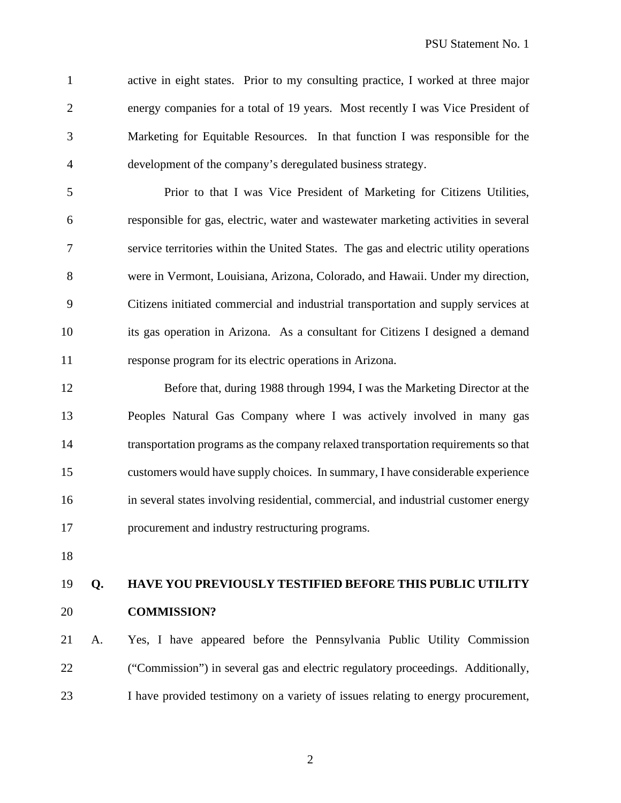active in eight states. Prior to my consulting practice, I worked at three major energy companies for a total of 19 years. Most recently I was Vice President of Marketing for Equitable Resources. In that function I was responsible for the development of the company's deregulated business strategy.

 Prior to that I was Vice President of Marketing for Citizens Utilities, responsible for gas, electric, water and wastewater marketing activities in several service territories within the United States. The gas and electric utility operations were in Vermont, Louisiana, Arizona, Colorado, and Hawaii. Under my direction, Citizens initiated commercial and industrial transportation and supply services at its gas operation in Arizona. As a consultant for Citizens I designed a demand response program for its electric operations in Arizona.

 Before that, during 1988 through 1994, I was the Marketing Director at the Peoples Natural Gas Company where I was actively involved in many gas transportation programs as the company relaxed transportation requirements so that customers would have supply choices. In summary, I have considerable experience in several states involving residential, commercial, and industrial customer energy procurement and industry restructuring programs.

# **Q. HAVE YOU PREVIOUSLY TESTIFIED BEFORE THIS PUBLIC UTILITY COMMISSION?**

 A. Yes, I have appeared before the Pennsylvania Public Utility Commission ("Commission") in several gas and electric regulatory proceedings. Additionally, I have provided testimony on a variety of issues relating to energy procurement,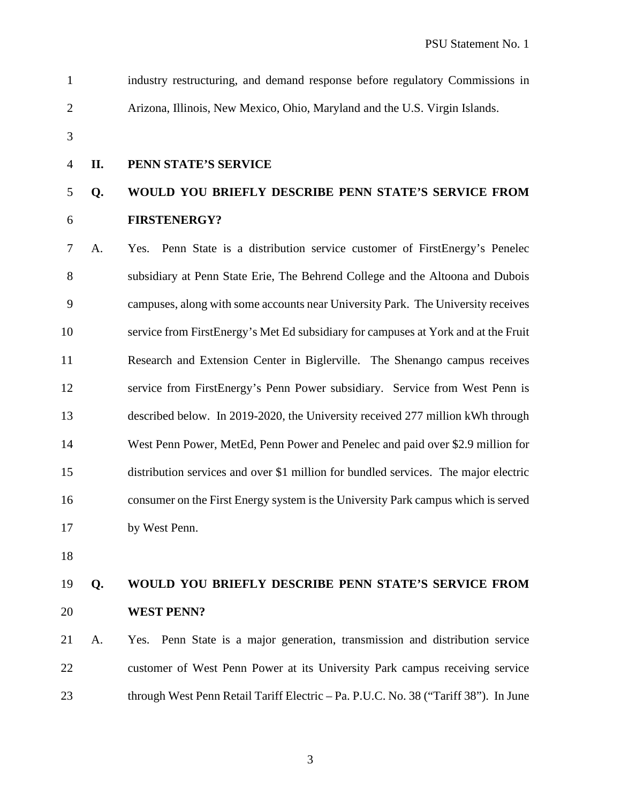industry restructuring, and demand response before regulatory Commissions in Arizona, Illinois, New Mexico, Ohio, Maryland and the U.S. Virgin Islands.

#### **II. PENN STATE'S SERVICE**

# **Q. WOULD YOU BRIEFLY DESCRIBE PENN STATE'S SERVICE FROM FIRSTENERGY?**

 A. Yes. Penn State is a distribution service customer of FirstEnergy's Penelec subsidiary at Penn State Erie, The Behrend College and the Altoona and Dubois campuses, along with some accounts near University Park. The University receives service from FirstEnergy's Met Ed subsidiary for campuses at York and at the Fruit Research and Extension Center in Biglerville. The Shenango campus receives service from FirstEnergy's Penn Power subsidiary. Service from West Penn is described below. In 2019-2020, the University received 277 million kWh through West Penn Power, MetEd, Penn Power and Penelec and paid over \$2.9 million for distribution services and over \$1 million for bundled services. The major electric consumer on the First Energy system is the University Park campus which is served by West Penn.

# **Q. WOULD YOU BRIEFLY DESCRIBE PENN STATE'S SERVICE FROM WEST PENN?**

 A. Yes. Penn State is a major generation, transmission and distribution service customer of West Penn Power at its University Park campus receiving service through West Penn Retail Tariff Electric – Pa. P.U.C. No. 38 ("Tariff 38"). In June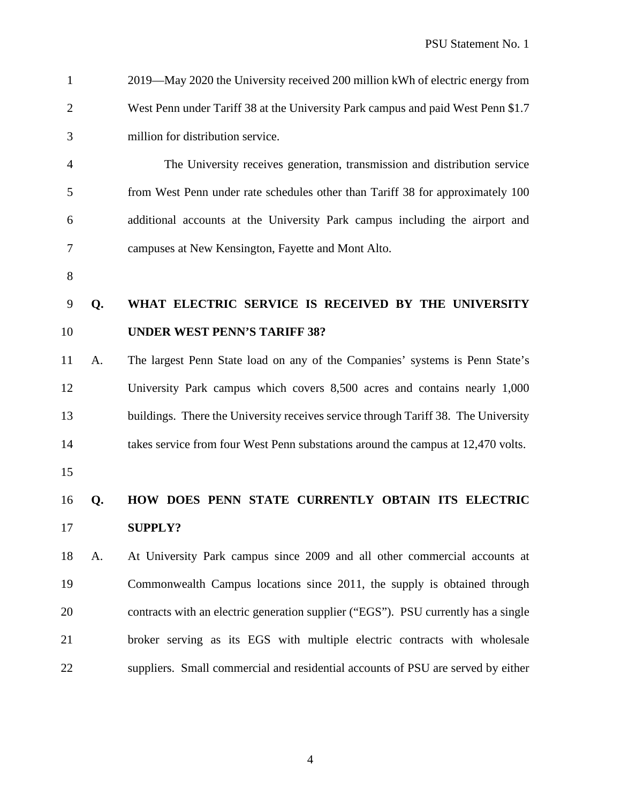2019—May 2020 the University received 200 million kWh of electric energy from West Penn under Tariff 38 at the University Park campus and paid West Penn \$1.7 million for distribution service.

 The University receives generation, transmission and distribution service from West Penn under rate schedules other than Tariff 38 for approximately 100 additional accounts at the University Park campus including the airport and campuses at New Kensington, Fayette and Mont Alto.

# **Q. WHAT ELECTRIC SERVICE IS RECEIVED BY THE UNIVERSITY UNDER WEST PENN'S TARIFF 38?**

 A. The largest Penn State load on any of the Companies' systems is Penn State's University Park campus which covers 8,500 acres and contains nearly 1,000 buildings. There the University receives service through Tariff 38. The University takes service from four West Penn substations around the campus at 12,470 volts.

# **Q. HOW DOES PENN STATE CURRENTLY OBTAIN ITS ELECTRIC SUPPLY?**

 A. At University Park campus since 2009 and all other commercial accounts at Commonwealth Campus locations since 2011, the supply is obtained through contracts with an electric generation supplier ("EGS"). PSU currently has a single broker serving as its EGS with multiple electric contracts with wholesale suppliers. Small commercial and residential accounts of PSU are served by either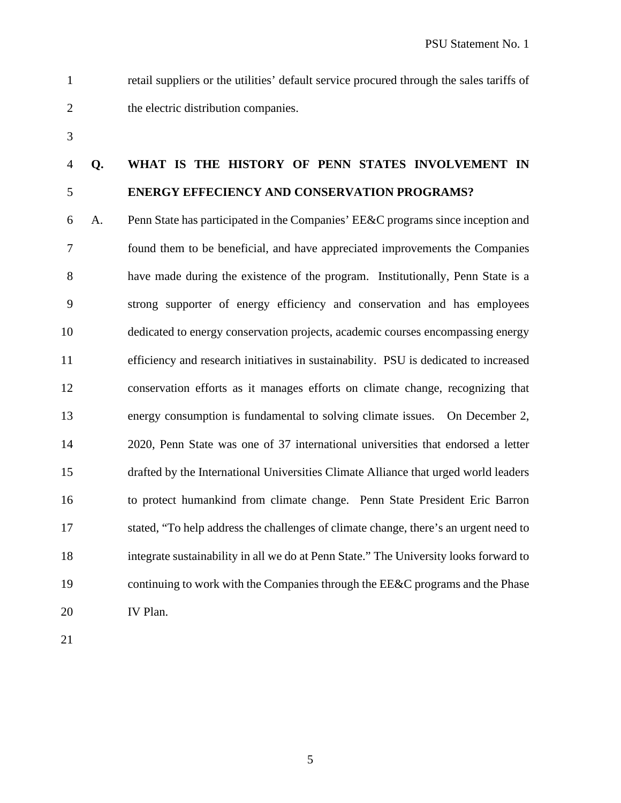retail suppliers or the utilities' default service procured through the sales tariffs of 2 the electric distribution companies.

# **Q. WHAT IS THE HISTORY OF PENN STATES INVOLVEMENT IN ENERGY EFFECIENCY AND CONSERVATION PROGRAMS?**

 A. Penn State has participated in the Companies' EE&C programs since inception and found them to be beneficial, and have appreciated improvements the Companies have made during the existence of the program. Institutionally, Penn State is a strong supporter of energy efficiency and conservation and has employees dedicated to energy conservation projects, academic courses encompassing energy efficiency and research initiatives in sustainability. PSU is dedicated to increased conservation efforts as it manages efforts on climate change, recognizing that energy consumption is fundamental to solving climate issues. On December 2, 2020, Penn State was one of 37 international universities that endorsed a letter drafted by the International Universities Climate Alliance that urged world leaders to protect humankind from climate change. Penn State President Eric Barron stated, "To help address the challenges of climate change, there's an urgent need to integrate sustainability in all we do at Penn State." The University looks forward to 19 continuing to work with the Companies through the EE&C programs and the Phase IV Plan.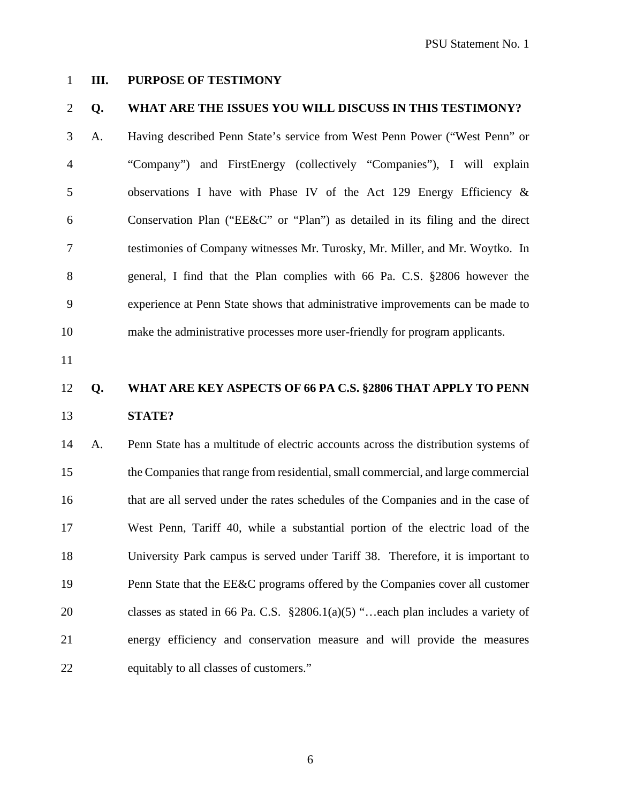**III. PURPOSE OF TESTIMONY**

#### **Q. WHAT ARE THE ISSUES YOU WILL DISCUSS IN THIS TESTIMONY?**

- A. Having described Penn State's service from West Penn Power ("West Penn" or "Company") and FirstEnergy (collectively "Companies"), I will explain observations I have with Phase IV of the Act 129 Energy Efficiency & Conservation Plan ("EE&C" or "Plan") as detailed in its filing and the direct testimonies of Company witnesses Mr. Turosky, Mr. Miller, and Mr. Woytko. In general, I find that the Plan complies with 66 Pa. C.S. §2806 however the experience at Penn State shows that administrative improvements can be made to make the administrative processes more user-friendly for program applicants.
- 

## **Q. WHAT ARE KEY ASPECTS OF 66 PA C.S. §2806 THAT APPLY TO PENN STATE?**

 A. Penn State has a multitude of electric accounts across the distribution systems of the Companies that range from residential, small commercial, and large commercial that are all served under the rates schedules of the Companies and in the case of West Penn, Tariff 40, while a substantial portion of the electric load of the University Park campus is served under Tariff 38. Therefore, it is important to 19 Penn State that the EE&C programs offered by the Companies cover all customer classes as stated in 66 Pa. C.S. §2806.1(a)(5) "…each plan includes a variety of energy efficiency and conservation measure and will provide the measures equitably to all classes of customers."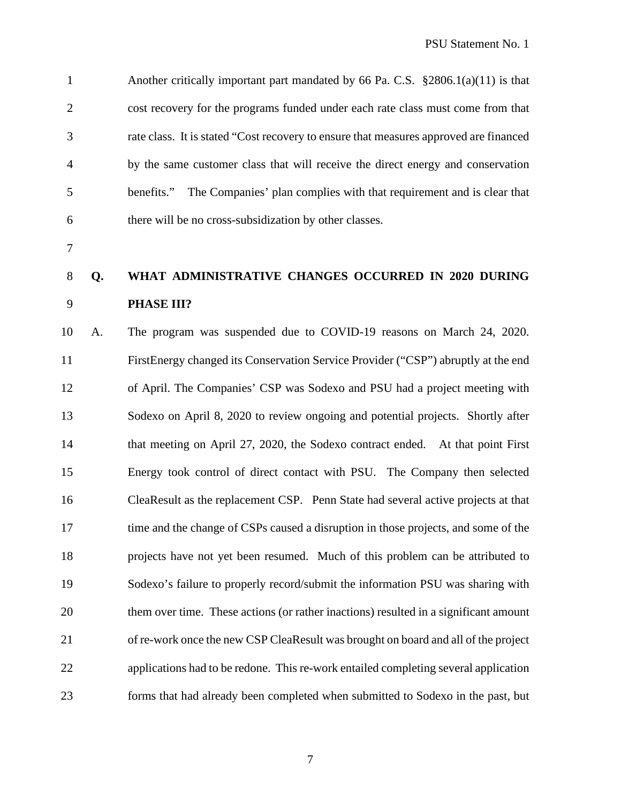Another critically important part mandated by 66 Pa. C.S. §2806.1(a)(11) is that cost recovery for the programs funded under each rate class must come from that rate class. It is stated "Cost recovery to ensure that measures approved are financed by the same customer class that will receive the direct energy and conservation benefits." The Companies' plan complies with that requirement and is clear that there will be no cross-subsidization by other classes.

# **Q. WHAT ADMINISTRATIVE CHANGES OCCURRED IN 2020 DURING PHASE III?**

 A. The program was suspended due to COVID-19 reasons on March 24, 2020. FirstEnergy changed its Conservation Service Provider ("CSP") abruptly at the end of April. The Companies' CSP was Sodexo and PSU had a project meeting with Sodexo on April 8, 2020 to review ongoing and potential projects. Shortly after that meeting on April 27, 2020, the Sodexo contract ended. At that point First Energy took control of direct contact with PSU. The Company then selected CleaResult as the replacement CSP. Penn State had several active projects at that time and the change of CSPs caused a disruption in those projects, and some of the projects have not yet been resumed. Much of this problem can be attributed to Sodexo's failure to properly record/submit the information PSU was sharing with 20 them over time. These actions (or rather inactions) resulted in a significant amount of re-work once the new CSP CleaResult was brought on board and all of the project applications had to be redone. This re-work entailed completing several application forms that had already been completed when submitted to Sodexo in the past, but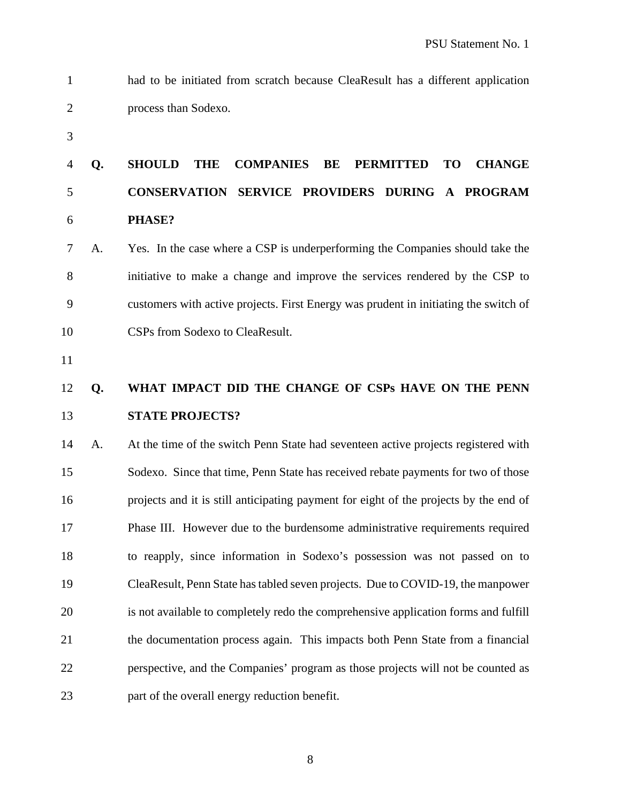- had to be initiated from scratch because CleaResult has a different application process than Sodexo.
- 

# **Q. SHOULD THE COMPANIES BE PERMITTED TO CHANGE CONSERVATION SERVICE PROVIDERS DURING A PROGRAM PHASE?**

- A. Yes. In the case where a CSP is underperforming the Companies should take the initiative to make a change and improve the services rendered by the CSP to customers with active projects. First Energy was prudent in initiating the switch of CSPs from Sodexo to CleaResult.
- 

# **Q. WHAT IMPACT DID THE CHANGE OF CSPs HAVE ON THE PENN STATE PROJECTS?**

 A. At the time of the switch Penn State had seventeen active projects registered with Sodexo. Since that time, Penn State has received rebate payments for two of those projects and it is still anticipating payment for eight of the projects by the end of Phase III. However due to the burdensome administrative requirements required to reapply, since information in Sodexo's possession was not passed on to CleaResult, Penn State has tabled seven projects. Due to COVID-19, the manpower is not available to completely redo the comprehensive application forms and fulfill the documentation process again. This impacts both Penn State from a financial perspective, and the Companies' program as those projects will not be counted as part of the overall energy reduction benefit.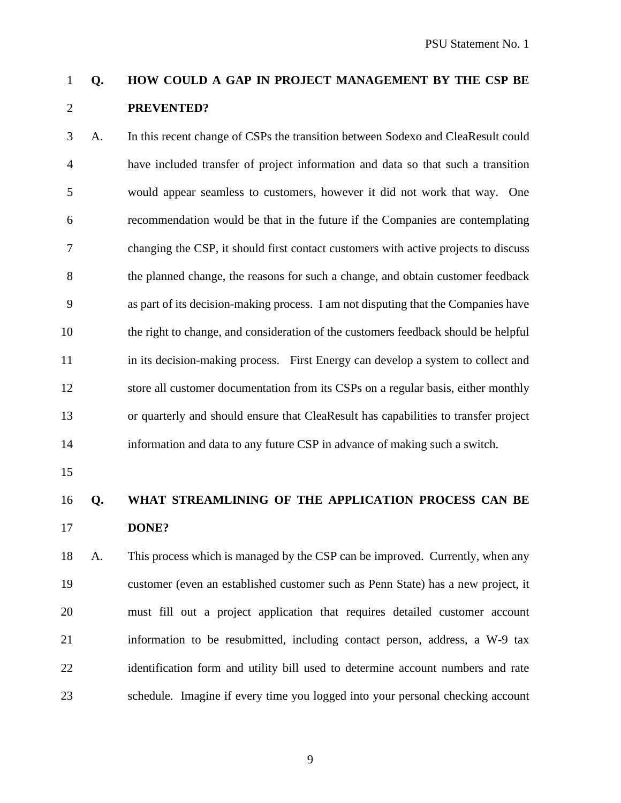# **Q. HOW COULD A GAP IN PROJECT MANAGEMENT BY THE CSP BE PREVENTED?**

 A. In this recent change of CSPs the transition between Sodexo and CleaResult could have included transfer of project information and data so that such a transition would appear seamless to customers, however it did not work that way. One recommendation would be that in the future if the Companies are contemplating changing the CSP, it should first contact customers with active projects to discuss the planned change, the reasons for such a change, and obtain customer feedback as part of its decision-making process. I am not disputing that the Companies have the right to change, and consideration of the customers feedback should be helpful in its decision-making process. First Energy can develop a system to collect and store all customer documentation from its CSPs on a regular basis, either monthly or quarterly and should ensure that CleaResult has capabilities to transfer project information and data to any future CSP in advance of making such a switch.

## **Q. WHAT STREAMLINING OF THE APPLICATION PROCESS CAN BE DONE?**

 A. This process which is managed by the CSP can be improved. Currently, when any customer (even an established customer such as Penn State) has a new project, it must fill out a project application that requires detailed customer account information to be resubmitted, including contact person, address, a W-9 tax identification form and utility bill used to determine account numbers and rate schedule. Imagine if every time you logged into your personal checking account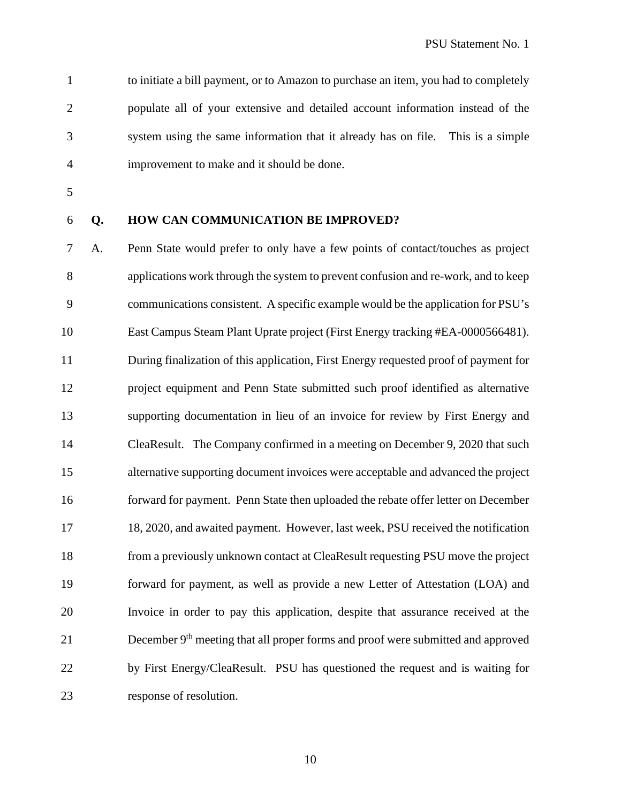to initiate a bill payment, or to Amazon to purchase an item, you had to completely populate all of your extensive and detailed account information instead of the system using the same information that it already has on file. This is a simple improvement to make and it should be done.

- 
- 

#### **Q. HOW CAN COMMUNICATION BE IMPROVED?**

 A. Penn State would prefer to only have a few points of contact/touches as project applications work through the system to prevent confusion and re-work, and to keep communications consistent. A specific example would be the application for PSU's East Campus Steam Plant Uprate project (First Energy tracking #EA-0000566481). During finalization of this application, First Energy requested proof of payment for project equipment and Penn State submitted such proof identified as alternative supporting documentation in lieu of an invoice for review by First Energy and CleaResult. The Company confirmed in a meeting on December 9, 2020 that such alternative supporting document invoices were acceptable and advanced the project forward for payment. Penn State then uploaded the rebate offer letter on December 18, 2020, and awaited payment. However, last week, PSU received the notification from a previously unknown contact at CleaResult requesting PSU move the project forward for payment, as well as provide a new Letter of Attestation (LOA) and Invoice in order to pay this application, despite that assurance received at the 21 December 9<sup>th</sup> meeting that all proper forms and proof were submitted and approved by First Energy/CleaResult. PSU has questioned the request and is waiting for response of resolution.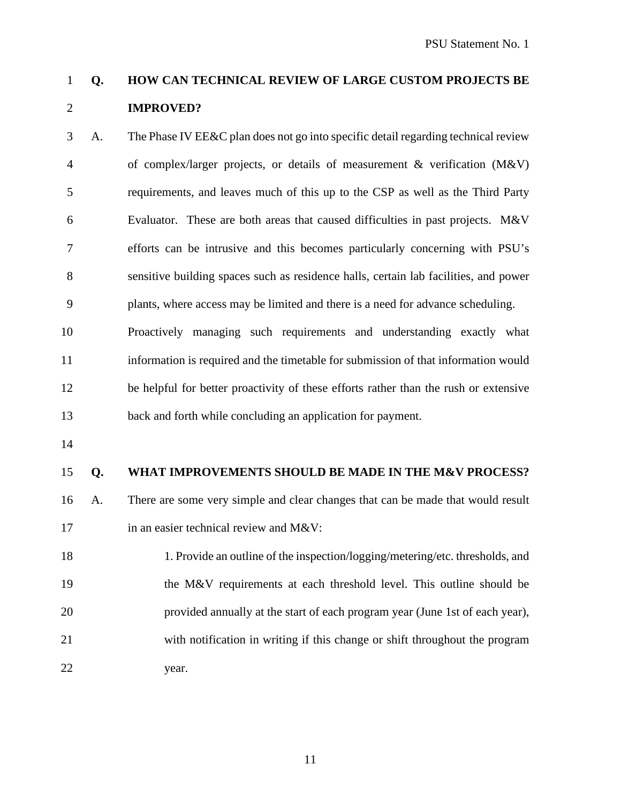## **Q. HOW CAN TECHNICAL REVIEW OF LARGE CUSTOM PROJECTS BE IMPROVED?**

 A. The Phase IV EE&C plan does not go into specific detail regarding technical review of complex/larger projects, or details of measurement & verification (M&V) requirements, and leaves much of this up to the CSP as well as the Third Party Evaluator. These are both areas that caused difficulties in past projects. M&V efforts can be intrusive and this becomes particularly concerning with PSU's sensitive building spaces such as residence halls, certain lab facilities, and power plants, where access may be limited and there is a need for advance scheduling.

 Proactively managing such requirements and understanding exactly what information is required and the timetable for submission of that information would be helpful for better proactivity of these efforts rather than the rush or extensive back and forth while concluding an application for payment.

#### **Q. WHAT IMPROVEMENTS SHOULD BE MADE IN THE M&V PROCESS?**

- A. There are some very simple and clear changes that can be made that would result 17 in an easier technical review and M&V:
- 1. Provide an outline of the inspection/logging/metering/etc. thresholds, and the M&V requirements at each threshold level. This outline should be provided annually at the start of each program year (June 1st of each year), with notification in writing if this change or shift throughout the program year.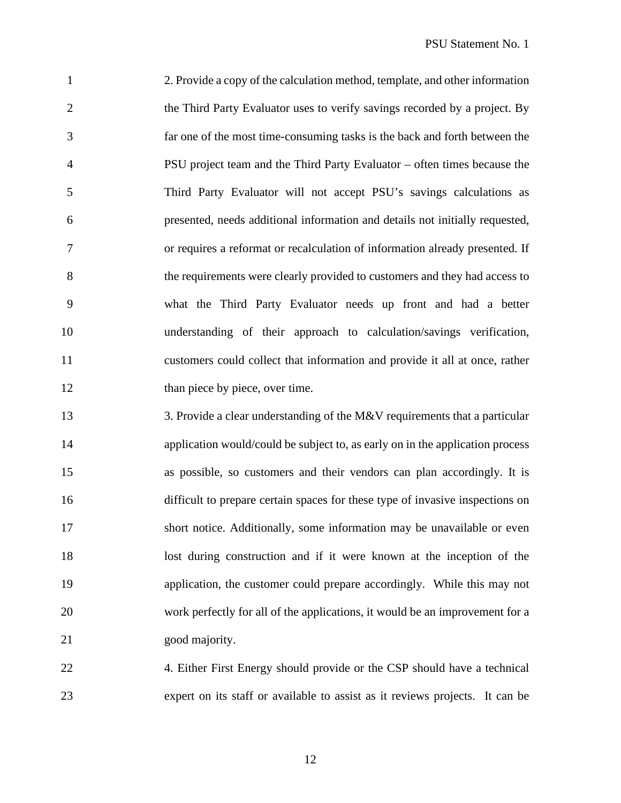2. Provide a copy of the calculation method, template, and other information 2 the Third Party Evaluator uses to verify savings recorded by a project. By far one of the most time-consuming tasks is the back and forth between the PSU project team and the Third Party Evaluator – often times because the Third Party Evaluator will not accept PSU's savings calculations as presented, needs additional information and details not initially requested, or requires a reformat or recalculation of information already presented. If the requirements were clearly provided to customers and they had access to what the Third Party Evaluator needs up front and had a better understanding of their approach to calculation/savings verification, customers could collect that information and provide it all at once, rather 12 than piece by piece, over time.

13 3. Provide a clear understanding of the M&V requirements that a particular application would/could be subject to, as early on in the application process as possible, so customers and their vendors can plan accordingly. It is difficult to prepare certain spaces for these type of invasive inspections on short notice. Additionally, some information may be unavailable or even lost during construction and if it were known at the inception of the application, the customer could prepare accordingly. While this may not work perfectly for all of the applications, it would be an improvement for a 21 good majority.

22 4. Either First Energy should provide or the CSP should have a technical expert on its staff or available to assist as it reviews projects. It can be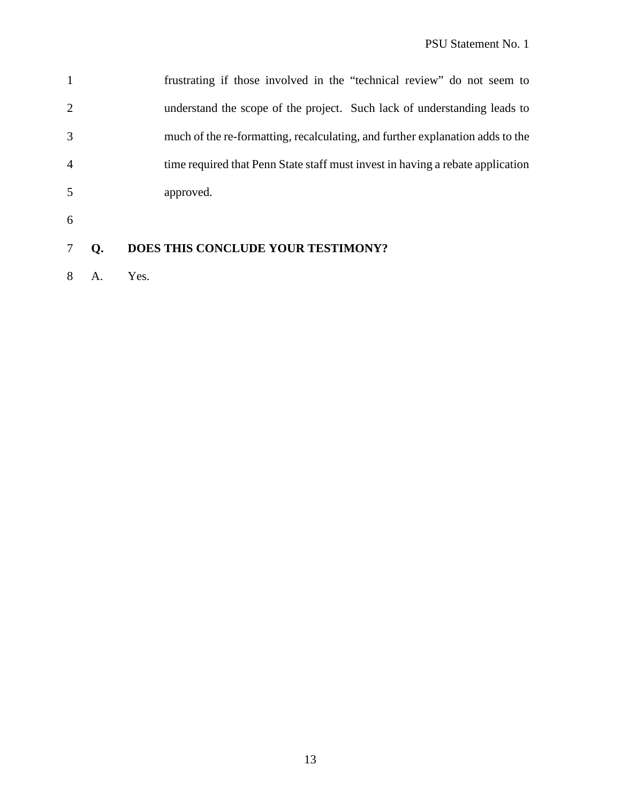|                | frustrating if those involved in the "technical review" do not seem to         |
|----------------|--------------------------------------------------------------------------------|
| $\overline{2}$ | understand the scope of the project. Such lack of understanding leads to       |
| 3              | much of the re-formatting, recalculating, and further explanation adds to the  |
| $\overline{4}$ | time required that Penn State staff must invest in having a rebate application |
| 5              | approved.                                                                      |

## **Q. DOES THIS CONCLUDE YOUR TESTIMONY?**

A. Yes.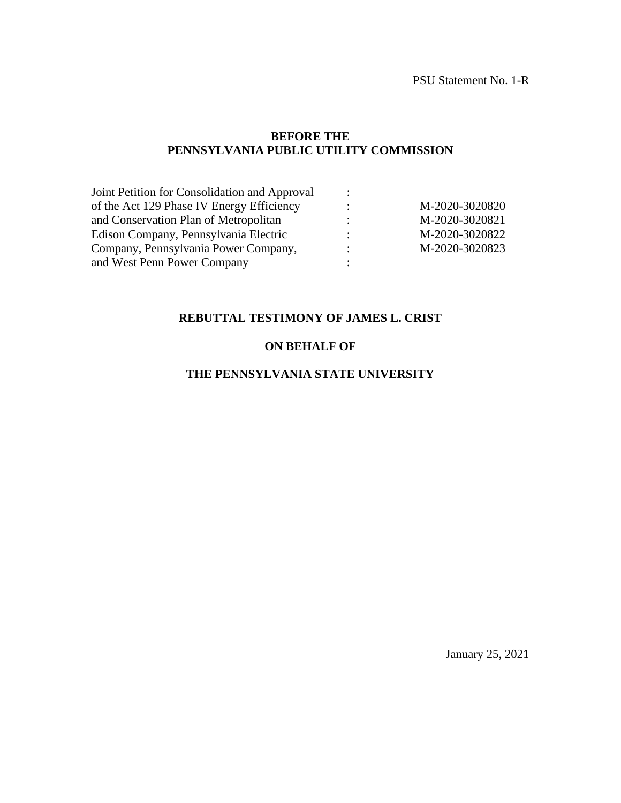#### **BEFORE THE PENNSYLVANIA PUBLIC UTILITY COMMISSION**

| Joint Petition for Consolidation and Approval |                           |                |
|-----------------------------------------------|---------------------------|----------------|
| of the Act 129 Phase IV Energy Efficiency     | ÷                         | M-2020-3020820 |
| and Conservation Plan of Metropolitan         | ٠<br>$\bullet$            | M-2020-3020821 |
| Edison Company, Pennsylvania Electric         | ٠                         | M-2020-3020822 |
| Company, Pennsylvania Power Company,          | ٠<br>$\ddot{\phantom{1}}$ | M-2020-3020823 |
| and West Penn Power Company                   |                           |                |
|                                               |                           |                |

## **REBUTTAL TESTIMONY OF JAMES L. CRIST**

## **ON BEHALF OF**

#### **THE PENNSYLVANIA STATE UNIVERSITY**

January 25, 2021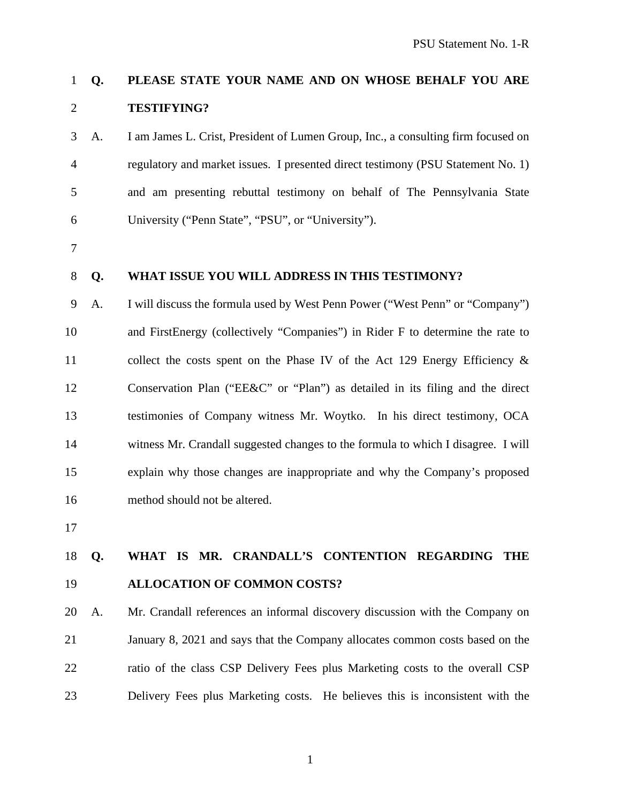## **Q. PLEASE STATE YOUR NAME AND ON WHOSE BEHALF YOU ARE TESTIFYING?**

 A. I am James L. Crist, President of Lumen Group, Inc., a consulting firm focused on regulatory and market issues. I presented direct testimony (PSU Statement No. 1) and am presenting rebuttal testimony on behalf of The Pennsylvania State University ("Penn State", "PSU", or "University").

#### **Q. WHAT ISSUE YOU WILL ADDRESS IN THIS TESTIMONY?**

 A. I will discuss the formula used by West Penn Power ("West Penn" or "Company") and FirstEnergy (collectively "Companies") in Rider F to determine the rate to collect the costs spent on the Phase IV of the Act 129 Energy Efficiency & Conservation Plan ("EE&C" or "Plan") as detailed in its filing and the direct testimonies of Company witness Mr. Woytko. In his direct testimony, OCA witness Mr. Crandall suggested changes to the formula to which I disagree. I will explain why those changes are inappropriate and why the Company's proposed method should not be altered.

## **Q. WHAT IS MR. CRANDALL'S CONTENTION REGARDING THE ALLOCATION OF COMMON COSTS?**

 A. Mr. Crandall references an informal discovery discussion with the Company on January 8, 2021 and says that the Company allocates common costs based on the ratio of the class CSP Delivery Fees plus Marketing costs to the overall CSP Delivery Fees plus Marketing costs. He believes this is inconsistent with the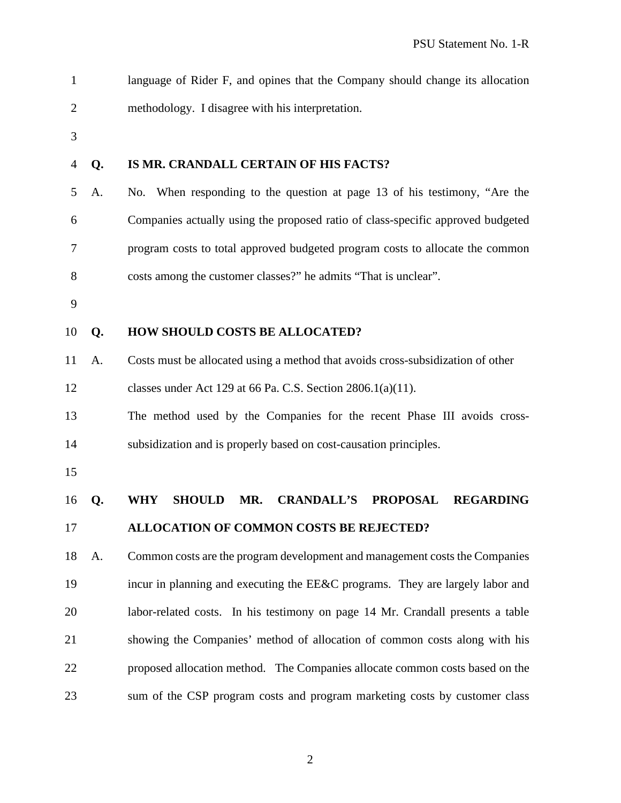| $\mathbf{1}$   |    | language of Rider F, and opines that the Company should change its allocation                  |
|----------------|----|------------------------------------------------------------------------------------------------|
| $\overline{2}$ |    | methodology. I disagree with his interpretation.                                               |
| 3              |    |                                                                                                |
| 4              | Q. | IS MR. CRANDALL CERTAIN OF HIS FACTS?                                                          |
| 5              | A. | No. When responding to the question at page 13 of his testimony, "Are the                      |
| 6              |    | Companies actually using the proposed ratio of class-specific approved budgeted                |
| 7              |    | program costs to total approved budgeted program costs to allocate the common                  |
| 8              |    | costs among the customer classes?" he admits "That is unclear".                                |
| 9              |    |                                                                                                |
| 10             | Q. | <b>HOW SHOULD COSTS BE ALLOCATED?</b>                                                          |
| 11             | A. | Costs must be allocated using a method that avoids cross-subsidization of other                |
| 12             |    | classes under Act 129 at 66 Pa. C.S. Section $2806.1(a)(11)$ .                                 |
| 13             |    | The method used by the Companies for the recent Phase III avoids cross-                        |
| 14             |    | subsidization and is properly based on cost-causation principles.                              |
| 15             |    |                                                                                                |
| 16             | Q. | <b>WHY</b><br><b>SHOULD</b><br>MR.<br><b>CRANDALL'S</b><br><b>PROPOSAL</b><br><b>REGARDING</b> |
| 17             |    | ALLOCATION OF COMMON COSTS BE REJECTED?                                                        |
| 18             | A. | Common costs are the program development and management costs the Companies                    |
| 19             |    | incur in planning and executing the EE&C programs. They are largely labor and                  |
| 20             |    | labor-related costs. In his testimony on page 14 Mr. Crandall presents a table                 |
| 21             |    | showing the Companies' method of allocation of common costs along with his                     |
| 22             |    | proposed allocation method. The Companies allocate common costs based on the                   |
| 23             |    | sum of the CSP program costs and program marketing costs by customer class                     |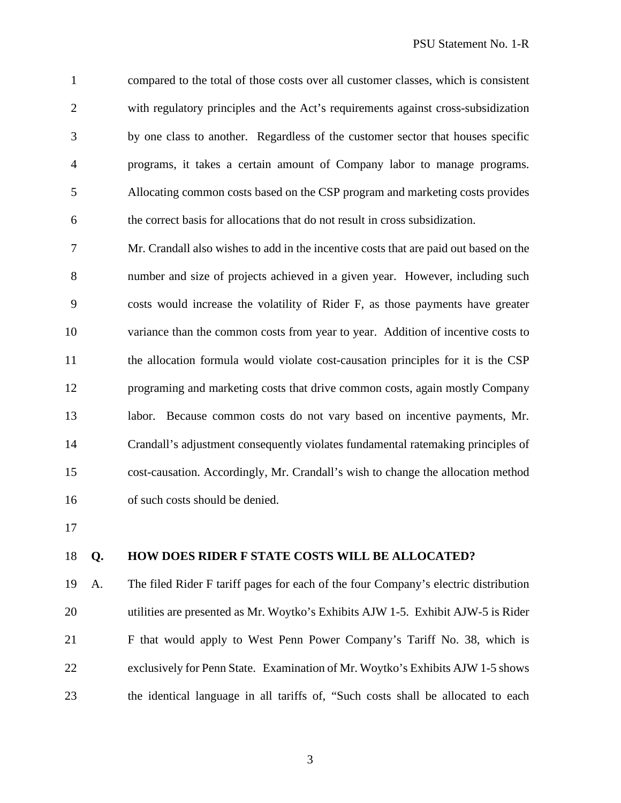compared to the total of those costs over all customer classes, which is consistent with regulatory principles and the Act's requirements against cross-subsidization by one class to another. Regardless of the customer sector that houses specific programs, it takes a certain amount of Company labor to manage programs. Allocating common costs based on the CSP program and marketing costs provides the correct basis for allocations that do not result in cross subsidization.

 Mr. Crandall also wishes to add in the incentive costs that are paid out based on the number and size of projects achieved in a given year. However, including such costs would increase the volatility of Rider F, as those payments have greater variance than the common costs from year to year. Addition of incentive costs to the allocation formula would violate cost-causation principles for it is the CSP programing and marketing costs that drive common costs, again mostly Company labor. Because common costs do not vary based on incentive payments, Mr. Crandall's adjustment consequently violates fundamental ratemaking principles of cost-causation. Accordingly, Mr. Crandall's wish to change the allocation method 16 of such costs should be denied.

#### **Q. HOW DOES RIDER F STATE COSTS WILL BE ALLOCATED?**

 A. The filed Rider F tariff pages for each of the four Company's electric distribution utilities are presented as Mr. Woytko's Exhibits AJW 1-5. Exhibit AJW-5 is Rider F that would apply to West Penn Power Company's Tariff No. 38, which is exclusively for Penn State. Examination of Mr. Woytko's Exhibits AJW 1-5 shows the identical language in all tariffs of, "Such costs shall be allocated to each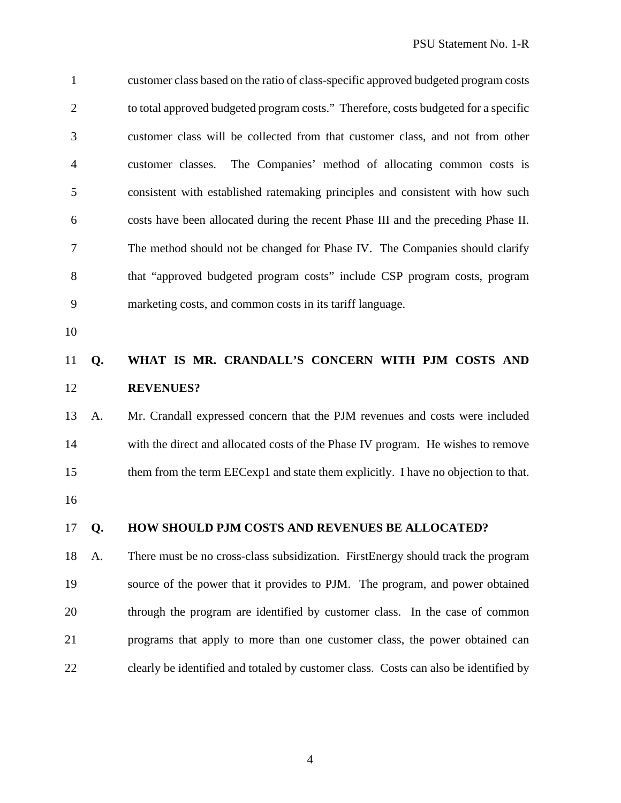customer class based on the ratio of class-specific approved budgeted program costs to total approved budgeted program costs." Therefore, costs budgeted for a specific customer class will be collected from that customer class, and not from other customer classes. The Companies' method of allocating common costs is consistent with established ratemaking principles and consistent with how such costs have been allocated during the recent Phase III and the preceding Phase II. The method should not be changed for Phase IV. The Companies should clarify that "approved budgeted program costs" include CSP program costs, program marketing costs, and common costs in its tariff language.

## **Q. WHAT IS MR. CRANDALL'S CONCERN WITH PJM COSTS AND REVENUES?**

# A. Mr. Crandall expressed concern that the PJM revenues and costs were included with the direct and allocated costs of the Phase IV program. He wishes to remove them from the term EECexp1 and state them explicitly. I have no objection to that.

#### **Q. HOW SHOULD PJM COSTS AND REVENUES BE ALLOCATED?**

 A. There must be no cross-class subsidization. FirstEnergy should track the program source of the power that it provides to PJM. The program, and power obtained through the program are identified by customer class. In the case of common programs that apply to more than one customer class, the power obtained can clearly be identified and totaled by customer class. Costs can also be identified by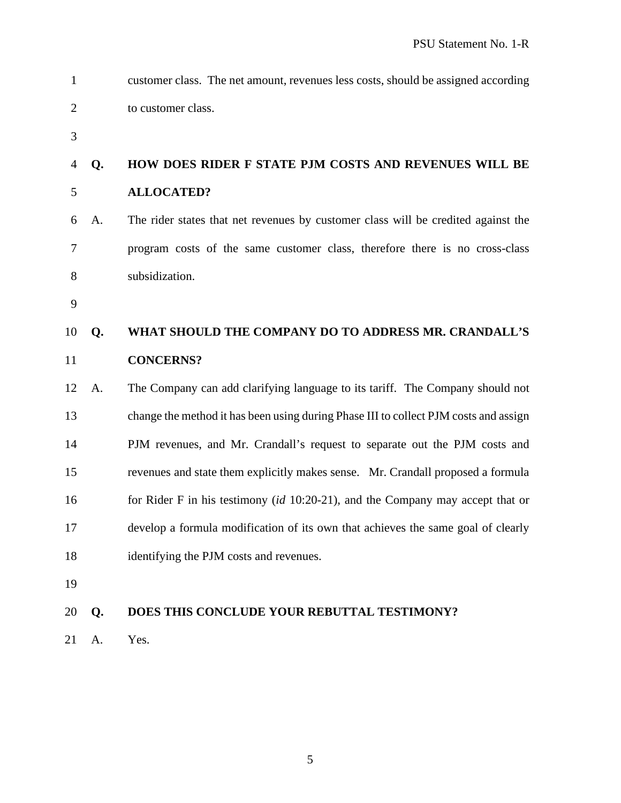| $\mathbf{1}$   |    | customer class. The net amount, revenues less costs, should be assigned according    |
|----------------|----|--------------------------------------------------------------------------------------|
| $\overline{2}$ |    | to customer class.                                                                   |
| 3              |    |                                                                                      |
| $\overline{4}$ | Q. | HOW DOES RIDER F STATE PJM COSTS AND REVENUES WILL BE                                |
| 5              |    | <b>ALLOCATED?</b>                                                                    |
| 6              | A. | The rider states that net revenues by customer class will be credited against the    |
| $\overline{7}$ |    | program costs of the same customer class, therefore there is no cross-class          |
| 8              |    | subsidization.                                                                       |
| 9              |    |                                                                                      |
| 10             | Q. | WHAT SHOULD THE COMPANY DO TO ADDRESS MR. CRANDALL'S                                 |
| 11             |    | <b>CONCERNS?</b>                                                                     |
| 12             | A. | The Company can add clarifying language to its tariff. The Company should not        |
| 13             |    | change the method it has been using during Phase III to collect PJM costs and assign |
| 14             |    | PJM revenues, and Mr. Crandall's request to separate out the PJM costs and           |
| 15             |    | revenues and state them explicitly makes sense. Mr. Crandall proposed a formula      |
| 16             |    | for Rider F in his testimony $(id 10:20-21)$ , and the Company may accept that or    |
| 17             |    | develop a formula modification of its own that achieves the same goal of clearly     |
| 18             |    | identifying the PJM costs and revenues.                                              |
| 19             |    |                                                                                      |
| 20             | Q. | DOES THIS CONCLUDE YOUR REBUTTAL TESTIMONY?                                          |

A. Yes.